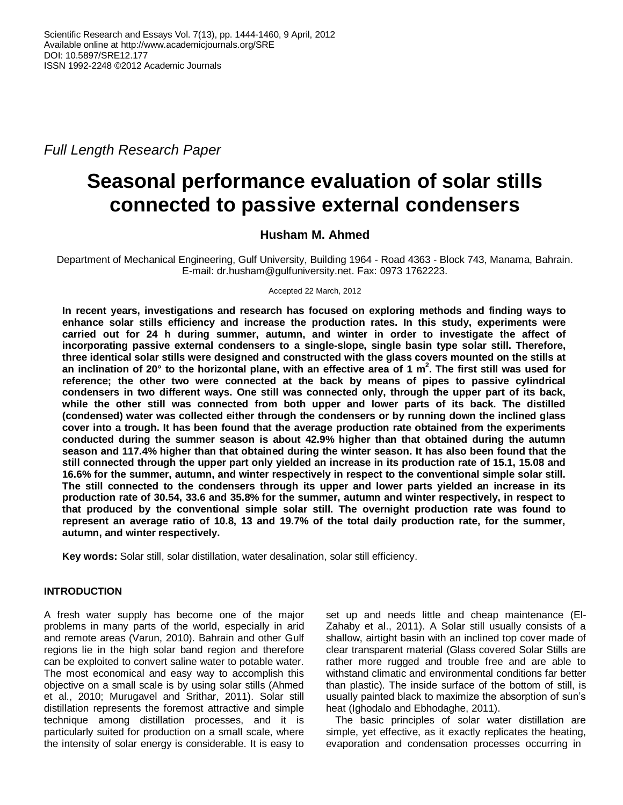*Full Length Research Paper*

# **Seasonal performance evaluation of solar stills connected to passive external condensers**

# **Husham M. Ahmed**

Department of Mechanical Engineering, Gulf University, Building 1964 - Road 4363 - Block 743, Manama, Bahrain. E-mail: dr.husham@gulfuniversity.net. Fax: 0973 1762223.

#### Accepted 22 March, 2012

**In recent years, investigations and research has focused on exploring methods and finding ways to enhance solar stills efficiency and increase the production rates. In this study, experiments were carried out for 24 h during summer, autumn, and winter in order to investigate the affect of incorporating passive external condensers to a single-slope, single basin type solar still. Therefore, three identical solar stills were designed and constructed with the glass covers mounted on the stills at an inclination of 20° to the horizontal plane, with an effective area of 1 m 2 . The first still was used for reference; the other two were connected at the back by means of pipes to passive cylindrical condensers in two different ways. One still was connected only, through the upper part of its back, while the other still was connected from both upper and lower parts of its back. The distilled (condensed) water was collected either through the condensers or by running down the inclined glass cover into a trough. It has been found that the average production rate obtained from the experiments conducted during the summer season is about 42.9% higher than that obtained during the autumn season and 117.4% higher than that obtained during the winter season. It has also been found that the still connected through the upper part only yielded an increase in its production rate of 15.1, 15.08 and 16.6% for the summer, autumn, and winter respectively in respect to the conventional simple solar still. The still connected to the condensers through its upper and lower parts yielded an increase in its production rate of 30.54, 33.6 and 35.8% for the summer, autumn and winter respectively, in respect to that produced by the conventional simple solar still. The overnight production rate was found to represent an average ratio of 10.8, 13 and 19.7% of the total daily production rate, for the summer, autumn, and winter respectively.**

**Key words:** Solar still, solar distillation, water desalination, solar still efficiency.

## **INTRODUCTION**

A fresh water supply has become one of the major problems in many parts of the world, especially in arid and remote areas (Varun, 2010). Bahrain and other Gulf regions lie in the high solar band region and therefore can be exploited to convert saline water to potable water. The most economical and easy way to accomplish this objective on a small scale is by using solar stills (Ahmed et al., 2010; Murugavel and Srithar, 2011). Solar still distillation represents the foremost attractive and simple technique among distillation processes, and it is particularly suited for production on a small scale, where the intensity of solar energy is considerable. It is easy to set up and needs little and cheap maintenance (El-Zahaby et al., 2011). A Solar still usually consists of a shallow, airtight basin with an inclined top cover made of clear transparent material (Glass covered Solar Stills are rather more rugged and trouble free and are able to withstand climatic and environmental conditions far better than plastic). The inside surface of the bottom of still, is usually painted black to maximize the absorption of sun's heat (Ighodalo and Ebhodaghe, 2011).

The basic principles of solar water distillation are simple, yet effective, as it exactly replicates the heating, evaporation and condensation processes occurring in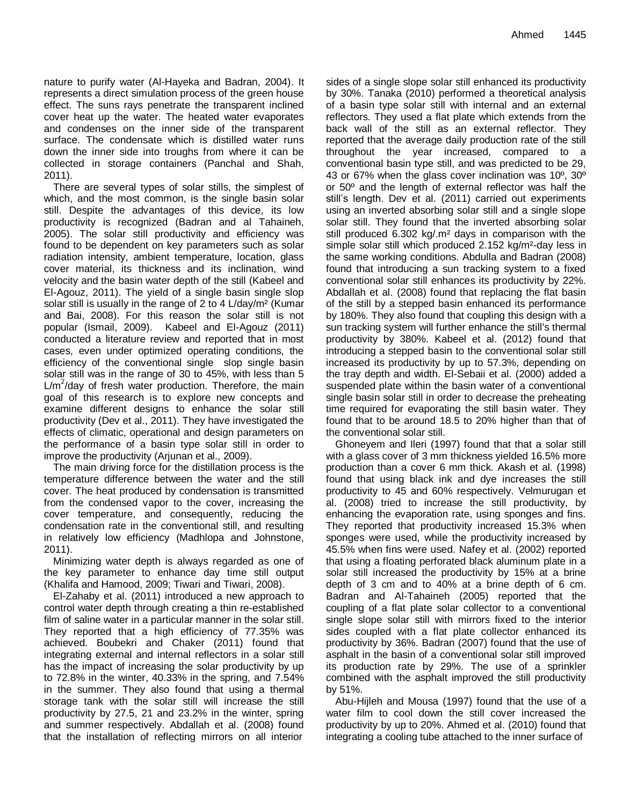nature to purify water (Al-Hayeka and Badran, 2004). It represents a direct simulation process of the green house effect. The suns rays penetrate the transparent inclined cover heat up the water. The heated water evaporates and condenses on the inner side of the transparent surface. The condensate which is distilled water runs down the inner side into troughs from where it can be collected in storage containers (Panchal and Shah, 2011).

There are several types of solar stills, the simplest of which, and the most common, is the single basin solar still. Despite the advantages of this device, its low productivity is recognized (Badran and al Tahaineh, 2005). The solar still productivity and efficiency was found to be dependent on key parameters such as solar radiation intensity, ambient temperature, location, glass cover material, its thickness and its inclination, wind velocity and the basin water depth of the still (Kabeel and El-Agouz, 2011). The yield of a single basin single slop solar still is usually in the range of 2 to 4 L/day/m<sup>2</sup> (Kumar and Bai, 2008). For this reason the solar still is not popular (Ismail, 2009). Kabeel and El-Agouz (2011) conducted a literature review and reported that in most cases, even under optimized operating conditions, the efficiency of the conventional single slop single basin solar still was in the range of 30 to 45%, with less than 5  $L/m^2$ /day of fresh water production. Therefore, the main goal of this research is to explore new concepts and examine different designs to enhance the solar still productivity (Dev et al., 2011). They have investigated the effects of climatic, operational and design parameters on the performance of a basin type solar still in order to improve the productivity (Arjunan et al., 2009).

The main driving force for the distillation process is the temperature difference between the water and the still cover. The heat produced by condensation is transmitted from the condensed vapor to the cover, increasing the cover temperature, and consequently, reducing the condensation rate in the conventional still, and resulting in relatively low efficiency (Madhlopa and Johnstone, 2011).

Minimizing water depth is always regarded as one of the key parameter to enhance day time still output (Khalifa and Hamood, 2009; Tiwari and Tiwari, 2008).

El-Zahaby et al. (2011) introduced a new approach to control water depth through creating a thin re-established film of saline water in a particular manner in the solar still. They reported that a high efficiency of 77.35% was achieved. Boubekri and Chaker (2011) found that integrating external and internal reflectors in a solar still has the impact of increasing the solar productivity by up to 72.8% in the winter, 40.33% in the spring, and 7.54% in the summer. They also found that using a thermal storage tank with the solar still will increase the still productivity by 27.5, 21 and 23.2% in the winter, spring and summer respectively. Abdallah et al. (2008) found that the installation of reflecting mirrors on all interior

sides of a single slope solar still enhanced its productivity by 30%. Tanaka (2010) performed a theoretical analysis of a basin type solar still with internal and an external reflectors. They used a flat plate which extends from the back wall of the still as an external reflector. They reported that the average daily production rate of the still throughout the year increased, compared to a conventional basin type still, and was predicted to be 29, 43 or 67% when the glass cover inclination was 10º, 30º or 50º and the length of external reflector was half the still's length. Dev et al. (2011) carried out experiments using an inverted absorbing solar still and a single slope solar still. They found that the inverted absorbing solar still produced 6.302 kg/.m² days in comparison with the simple solar still which produced 2.152 kg/m²-day less in the same working conditions. Abdulla and Badran (2008) found that introducing a sun tracking system to a fixed conventional solar still enhances its productivity by 22%. Abdallah et al. (2008) found that replacing the flat basin of the still by a stepped basin enhanced its performance by 180%. They also found that coupling this design with a sun tracking system will further enhance the still's thermal productivity by 380%. Kabeel et al. (2012) found that introducing a stepped basin to the conventional solar still increased its productivity by up to 57.3%, depending on the tray depth and width. El-Sebaii et al. (2000) added a suspended plate within the basin water of a conventional single basin solar still in order to decrease the preheating time required for evaporating the still basin water. They found that to be around 18.5 to 20% higher than that of the conventional solar still.

Ghoneyem and Ileri (1997) found that that a solar still with a glass cover of 3 mm thickness yielded 16.5% more production than a cover 6 mm thick. Akash et al. (1998) found that using black ink and dye increases the still productivity to 45 and 60% respectively. Velmurugan et al. (2008) tried to increase the still productivity, by enhancing the evaporation rate, using sponges and fins. They reported that productivity increased 15.3% when sponges were used, while the productivity increased by 45.5% when fins were used. Nafey et al. (2002) reported that using a floating perforated black aluminum plate in a solar still increased the productivity by 15% at a brine depth of 3 cm and to 40% at a brine depth of 6 cm. Badran and Al-Tahaineh (2005) reported that the coupling of a flat plate solar collector to a conventional single slope solar still with mirrors fixed to the interior sides coupled with a flat plate collector enhanced its productivity by 36%. Badran (2007) found that the use of asphalt in the basin of a conventional solar still improved its production rate by 29%. The use of a sprinkler combined with the asphalt improved the still productivity by 51%.

Abu-Hijleh and Mousa (1997) found that the use of a water film to cool down the still cover increased the productivity by up to 20%. Ahmed et al. (2010) found that integrating a cooling tube attached to the inner surface of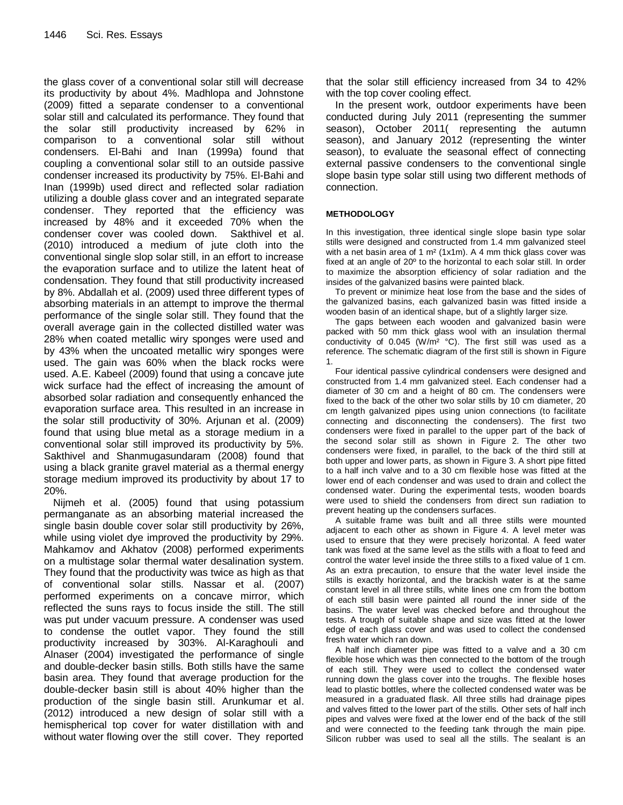the glass cover of a conventional solar still will decrease its productivity by about 4%. Madhlopa and Johnstone (2009) fitted a separate condenser to a conventional solar still and calculated its performance. They found that the solar still productivity increased by 62% in comparison to a conventional solar still without condensers. El-Bahi and Inan (1999a) found that coupling a conventional solar still to an outside passive condenser increased its productivity by 75%. El-Bahi and Inan (1999b) used direct and reflected solar radiation utilizing a double glass cover and an integrated separate condenser. They reported that the efficiency was increased by 48% and it exceeded 70% when the condenser cover was cooled down. Sakthivel et al. (2010) introduced a medium of jute cloth into the conventional single slop solar still, in an effort to increase the evaporation surface and to utilize the latent heat of condensation. They found that still productivity increased by 8%. Abdallah et al. (2009) used three different types of absorbing materials in an attempt to improve the thermal performance of the single solar still. They found that the overall average gain in the collected distilled water was 28% when coated metallic wiry sponges were used and by 43% when the uncoated metallic wiry sponges were used. The gain was 60% when the black rocks were used. A.E. Kabeel (2009) found that using a concave jute wick surface had the effect of increasing the amount of absorbed solar radiation and consequently enhanced the evaporation surface area. This resulted in an increase in the solar still productivity of 30%. Arjunan et al. (2009) found that using blue metal as a storage medium in a conventional solar still improved its productivity by 5%. Sakthivel and Shanmugasundaram (2008) found that using a black granite gravel material as a thermal energy storage medium improved its productivity by about 17 to 20%.

Nijmeh et al. (2005) found that using potassium permanganate as an absorbing material increased the single basin double cover solar still productivity by 26%, while using violet dye improved the productivity by 29%. Mahkamov and Akhatov (2008) performed experiments on a multistage solar thermal water desalination system. They found that the productivity was twice as high as that of conventional solar stills. Nassar et al. (2007) performed experiments on a concave mirror, which reflected the suns rays to focus inside the still. The still was put under vacuum pressure. A condenser was used to condense the outlet vapor. They found the still productivity increased by 303%. Al-Karaghouli and Alnaser (2004) investigated the performance of single and double-decker basin stills. Both stills have the same basin area. They found that average production for the double-decker basin still is about 40% higher than the production of the single basin still. Arunkumar et al. (2012) introduced a new design of solar still with a hemispherical top cover for water distillation with and without water flowing over the still cover. They reported

that the solar still efficiency increased from 34 to 42% with the top cover cooling effect.

In the present work, outdoor experiments have been conducted during July 2011 (representing the summer season), October 2011( representing the autumn season), and January 2012 (representing the winter season), to evaluate the seasonal effect of connecting external passive condensers to the conventional single slope basin type solar still using two different methods of connection.

#### **METHODOLOGY**

In this investigation, three identical single slope basin type solar stills were designed and constructed from 1.4 mm galvanized steel with a net basin area of 1 m<sup>2</sup> (1x1m). A 4 mm thick glass cover was fixed at an angle of 20º to the horizontal to each solar still. In order to maximize the absorption efficiency of solar radiation and the insides of the galvanized basins were painted black.

To prevent or minimize heat lose from the base and the sides of the galvanized basins, each galvanized basin was fitted inside a wooden basin of an identical shape, but of a slightly larger size.

The gaps between each wooden and galvanized basin were packed with 50 mm thick glass wool with an insulation thermal conductivity of 0.045 (W/m<sup>2</sup> °C). The first still was used as a reference. The schematic diagram of the first still is shown in Figure 1.

Four identical passive cylindrical condensers were designed and constructed from 1.4 mm galvanized steel. Each condenser had a diameter of 30 cm and a height of 80 cm. The condensers were fixed to the back of the other two solar stills by 10 cm diameter, 20 cm length galvanized pipes using union connections (to facilitate connecting and disconnecting the condensers). The first two condensers were fixed in parallel to the upper part of the back of the second solar still as shown in Figure 2. The other two condensers were fixed, in parallel, to the back of the third still at both upper and lower parts, as shown in Figure 3. A short pipe fitted to a half inch valve and to a 30 cm flexible hose was fitted at the lower end of each condenser and was used to drain and collect the condensed water. During the experimental tests, wooden boards were used to shield the condensers from direct sun radiation to prevent heating up the condensers surfaces.

A suitable frame was built and all three stills were mounted adjacent to each other as shown in Figure 4. A level meter was used to ensure that they were precisely horizontal. A feed water tank was fixed at the same level as the stills with a float to feed and control the water level inside the three stills to a fixed value of 1 cm. As an extra precaution, to ensure that the water level inside the stills is exactly horizontal, and the brackish water is at the same constant level in all three stills, white lines one cm from the bottom of each still basin were painted all round the inner side of the basins. The water level was checked before and throughout the tests. A trough of suitable shape and size was fitted at the lower edge of each glass cover and was used to collect the condensed fresh water which ran down.

A half inch diameter pipe was fitted to a valve and a 30 cm flexible hose which was then connected to the bottom of the trough of each still. They were used to collect the condensed water running down the glass cover into the troughs. The flexible hoses lead to plastic bottles, where the collected condensed water was be measured in a graduated flask. All three stills had drainage pipes and valves fitted to the lower part of the stills. Other sets of half inch pipes and valves were fixed at the lower end of the back of the still and were connected to the feeding tank through the main pipe. Silicon rubber was used to seal all the stills. The sealant is an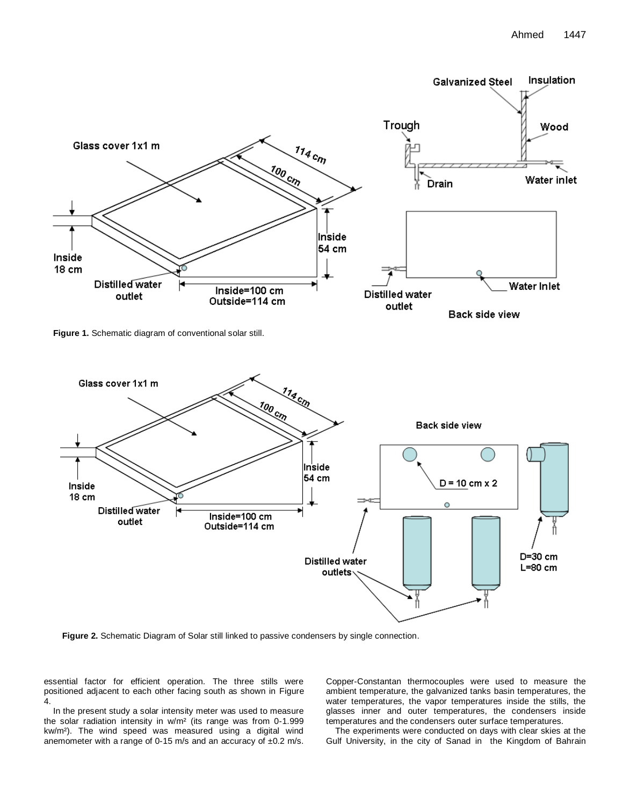

**Figure 1.** Schematic diagram of conventional solar still.



**Figure 2.** Schematic Diagram of Solar still linked to passive condensers by single connection.

essential factor for efficient operation. The three stills were positioned adjacent to each other facing south as shown in Figure 4.

In the present study a solar intensity meter was used to measure the solar radiation intensity in w/m² (its range was from 0-1.999 kw/m²). The wind speed was measured using a digital wind anemometer with a range of 0-15 m/s and an accuracy of ±0.2 m/s.

Copper-Constantan thermocouples were used to measure the ambient temperature, the galvanized tanks basin temperatures, the water temperatures, the vapor temperatures inside the stills, the glasses inner and outer temperatures, the condensers inside temperatures and the condensers outer surface temperatures.

The experiments were conducted on days with clear skies at the Gulf University, in the city of Sanad in the Kingdom of Bahrain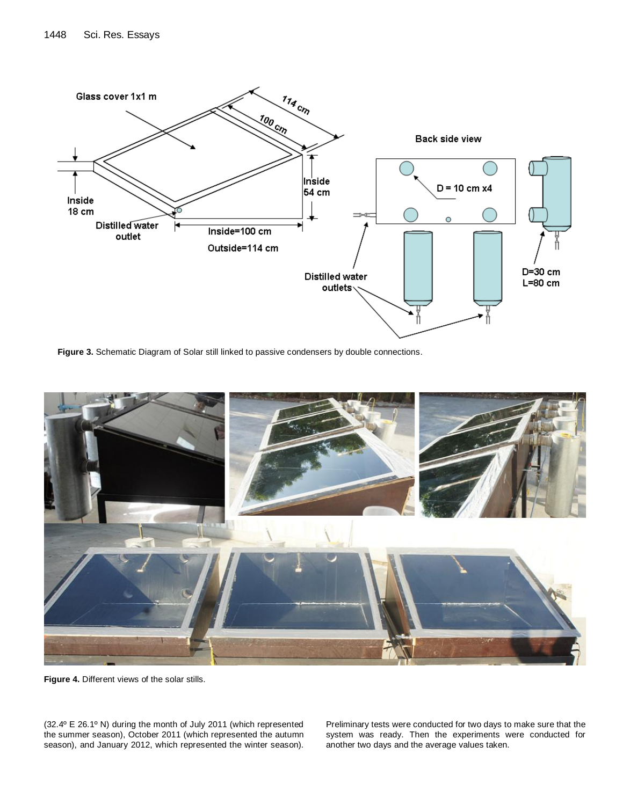

**Figure 3.** Schematic Diagram of Solar still linked to passive condensers by double connections.



**Figure 4.** Different views of the solar stills.

(32.4º E 26.1º N) during the month of July 2011 (which represented the summer season), October 2011 (which represented the autumn season), and January 2012, which represented the winter season). Preliminary tests were conducted for two days to make sure that the system was ready. Then the experiments were conducted for another two days and the average values taken.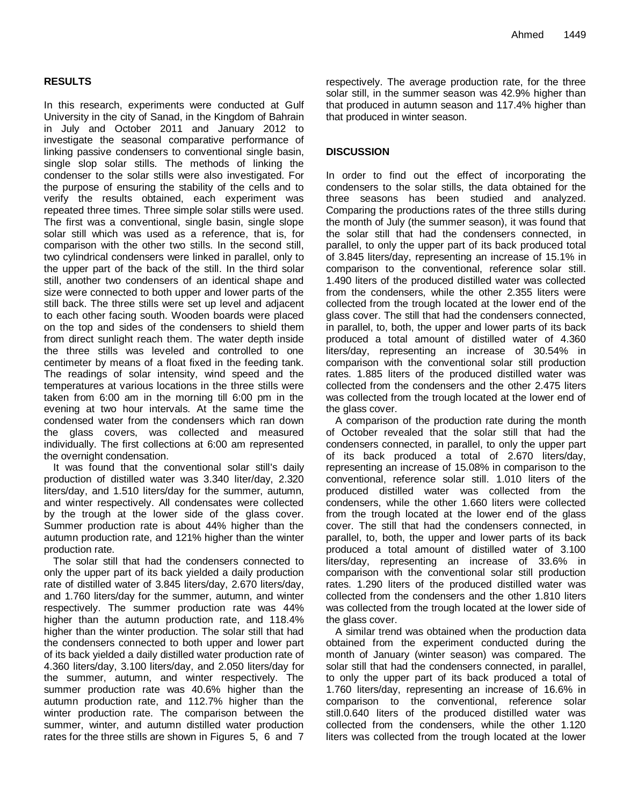# **RESULTS**

In this research, experiments were conducted at Gulf University in the city of Sanad, in the Kingdom of Bahrain in July and October 2011 and January 2012 to investigate the seasonal comparative performance of linking passive condensers to conventional single basin, single slop solar stills. The methods of linking the condenser to the solar stills were also investigated. For the purpose of ensuring the stability of the cells and to verify the results obtained, each experiment was repeated three times. Three simple solar stills were used. The first was a conventional, single basin, single slope solar still which was used as a reference, that is, for comparison with the other two stills. In the second still, two cylindrical condensers were linked in parallel, only to the upper part of the back of the still. In the third solar still, another two condensers of an identical shape and size were connected to both upper and lower parts of the still back. The three stills were set up level and adjacent to each other facing south. Wooden boards were placed on the top and sides of the condensers to shield them from direct sunlight reach them. The water depth inside the three stills was leveled and controlled to one centimeter by means of a float fixed in the feeding tank. The readings of solar intensity, wind speed and the temperatures at various locations in the three stills were taken from 6:00 am in the morning till 6:00 pm in the evening at two hour intervals. At the same time the condensed water from the condensers which ran down the glass covers, was collected and measured individually. The first collections at 6:00 am represented the overnight condensation.

It was found that the conventional solar still's daily production of distilled water was 3.340 liter/day, 2.320 liters/day, and 1.510 liters/day for the summer, autumn, and winter respectively. All condensates were collected by the trough at the lower side of the glass cover. Summer production rate is about 44% higher than the autumn production rate, and 121% higher than the winter production rate.

The solar still that had the condensers connected to only the upper part of its back yielded a daily production rate of distilled water of 3.845 liters/day, 2.670 liters/day, and 1.760 liters/day for the summer, autumn, and winter respectively. The summer production rate was 44% higher than the autumn production rate, and 118.4% higher than the winter production. The solar still that had the condensers connected to both upper and lower part of its back yielded a daily distilled water production rate of 4.360 liters/day, 3.100 liters/day, and 2.050 liters/day for the summer, autumn, and winter respectively. The summer production rate was 40.6% higher than the autumn production rate, and 112.7% higher than the winter production rate. The comparison between the summer, winter, and autumn distilled water production rates for the three stills are shown in Figures 5, 6 and 7 respectively. The average production rate, for the three solar still, in the summer season was 42.9% higher than that produced in autumn season and 117.4% higher than that produced in winter season.

# **DISCUSSION**

In order to find out the effect of incorporating the condensers to the solar stills, the data obtained for the three seasons has been studied and analyzed. Comparing the productions rates of the three stills during the month of July (the summer season), it was found that the solar still that had the condensers connected, in parallel, to only the upper part of its back produced total of 3.845 liters/day, representing an increase of 15.1% in comparison to the conventional, reference solar still. 1.490 liters of the produced distilled water was collected from the condensers, while the other 2.355 liters were collected from the trough located at the lower end of the glass cover. The still that had the condensers connected, in parallel, to, both, the upper and lower parts of its back produced a total amount of distilled water of 4.360 liters/day, representing an increase of 30.54% in comparison with the conventional solar still production rates. 1.885 liters of the produced distilled water was collected from the condensers and the other 2.475 liters was collected from the trough located at the lower end of the glass cover.

A comparison of the production rate during the month of October revealed that the solar still that had the condensers connected, in parallel, to only the upper part of its back produced a total of 2.670 liters/day, representing an increase of 15.08% in comparison to the conventional, reference solar still. 1.010 liters of the produced distilled water was collected from the condensers, while the other 1.660 liters were collected from the trough located at the lower end of the glass cover. The still that had the condensers connected, in parallel, to, both, the upper and lower parts of its back produced a total amount of distilled water of 3.100 liters/day, representing an increase of 33.6% in comparison with the conventional solar still production rates. 1.290 liters of the produced distilled water was collected from the condensers and the other 1.810 liters was collected from the trough located at the lower side of the glass cover.

A similar trend was obtained when the production data obtained from the experiment conducted during the month of January (winter season) was compared. The solar still that had the condensers connected, in parallel, to only the upper part of its back produced a total of 1.760 liters/day, representing an increase of 16.6% in comparison to the conventional, reference solar still.0.640 liters of the produced distilled water was collected from the condensers, while the other 1.120 liters was collected from the trough located at the lower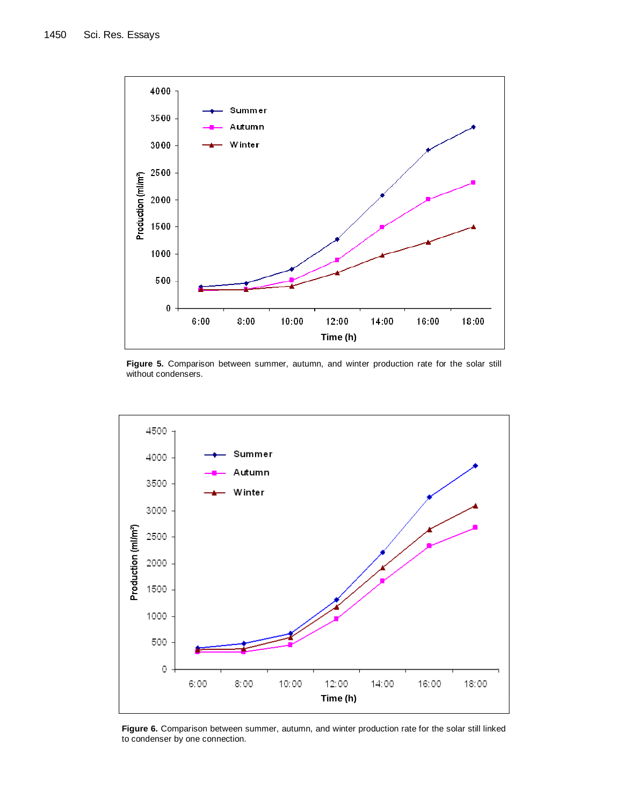

Figure 5. Comparison between summer, autumn, and winter production rate for the solar still without condensers.



**Figure 6.** Comparison between summer, autumn, and winter production rate for the solar still linked to condenser by one connection.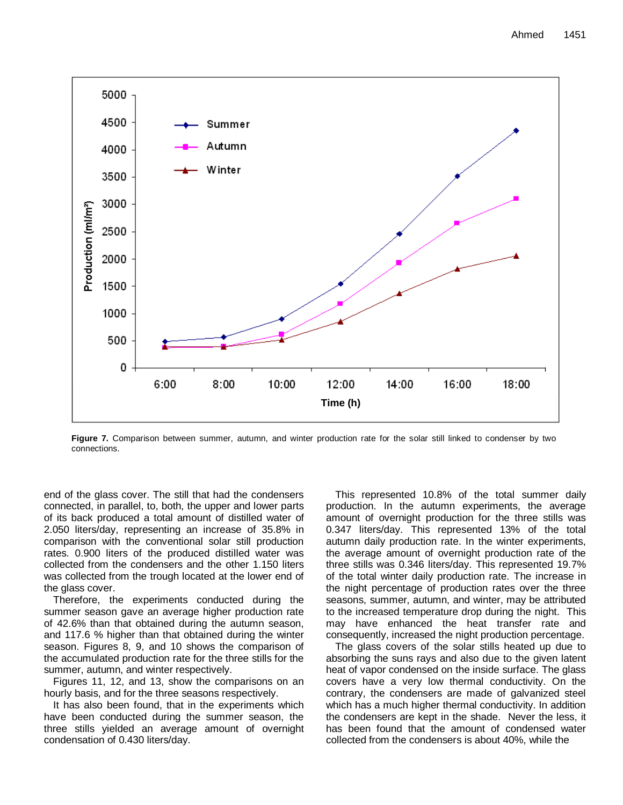

**Figure 7.** Comparison between summer, autumn, and winter production rate for the solar still linked to condenser by two connections.

end of the glass cover. The still that had the condensers connected, in parallel, to, both, the upper and lower parts of its back produced a total amount of distilled water of 2.050 liters/day, representing an increase of 35.8% in comparison with the conventional solar still production rates. 0.900 liters of the produced distilled water was collected from the condensers and the other 1.150 liters was collected from the trough located at the lower end of the glass cover.

Therefore, the experiments conducted during the summer season gave an average higher production rate of 42.6% than that obtained during the autumn season, and 117.6 % higher than that obtained during the winter season. Figures 8, 9, and 10 shows the comparison of the accumulated production rate for the three stills for the summer, autumn, and winter respectively.

Figures 11, 12, and 13, show the comparisons on an hourly basis, and for the three seasons respectively.

It has also been found, that in the experiments which have been conducted during the summer season, the three stills yielded an average amount of overnight condensation of 0.430 liters/day.

This represented 10.8% of the total summer daily production. In the autumn experiments, the average amount of overnight production for the three stills was 0.347 liters/day. This represented 13% of the total autumn daily production rate. In the winter experiments, the average amount of overnight production rate of the three stills was 0.346 liters/day. This represented 19.7% of the total winter daily production rate. The increase in the night percentage of production rates over the three seasons, summer, autumn, and winter, may be attributed to the increased temperature drop during the night. This may have enhanced the heat transfer rate and consequently, increased the night production percentage.

The glass covers of the solar stills heated up due to absorbing the suns rays and also due to the given latent heat of vapor condensed on the inside surface. The glass covers have a very low thermal conductivity. On the contrary, the condensers are made of galvanized steel which has a much higher thermal conductivity. In addition the condensers are kept in the shade. Never the less, it has been found that the amount of condensed water collected from the condensers is about 40%, while the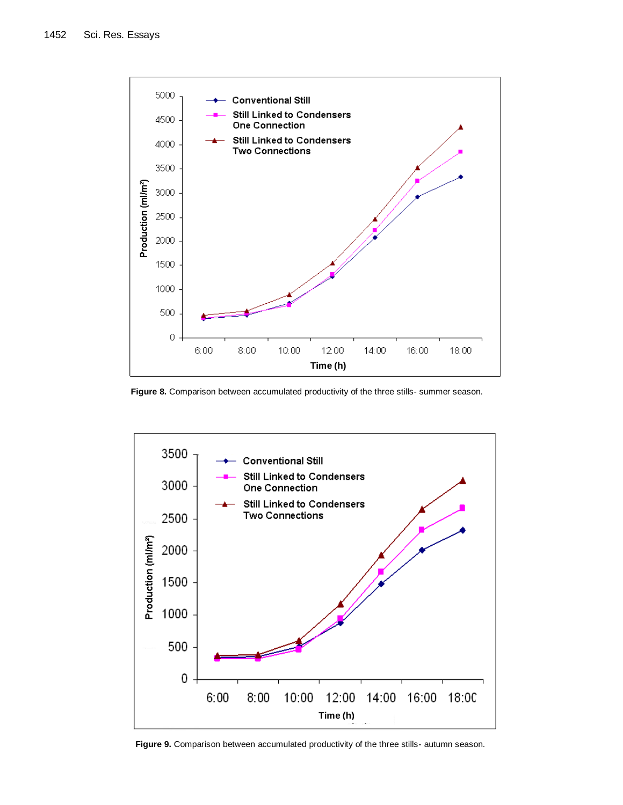

Figure 8. Comparison between accumulated productivity of the three stills- summer season.



**Figure 9.** Comparison between accumulated productivity of the three stills- autumn season.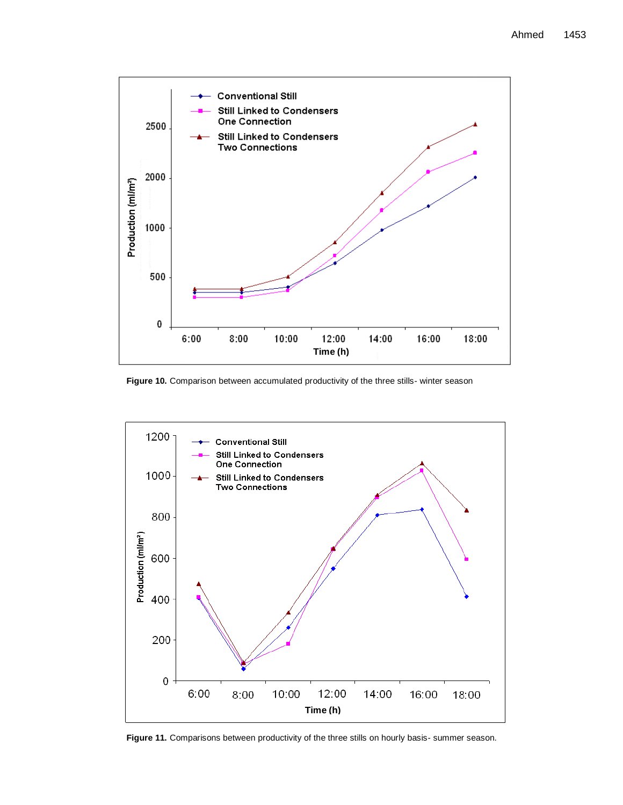

Figure 10. Comparison between accumulated productivity of the three stills- winter season



Figure 11. Comparisons between productivity of the three stills on hourly basis- summer season.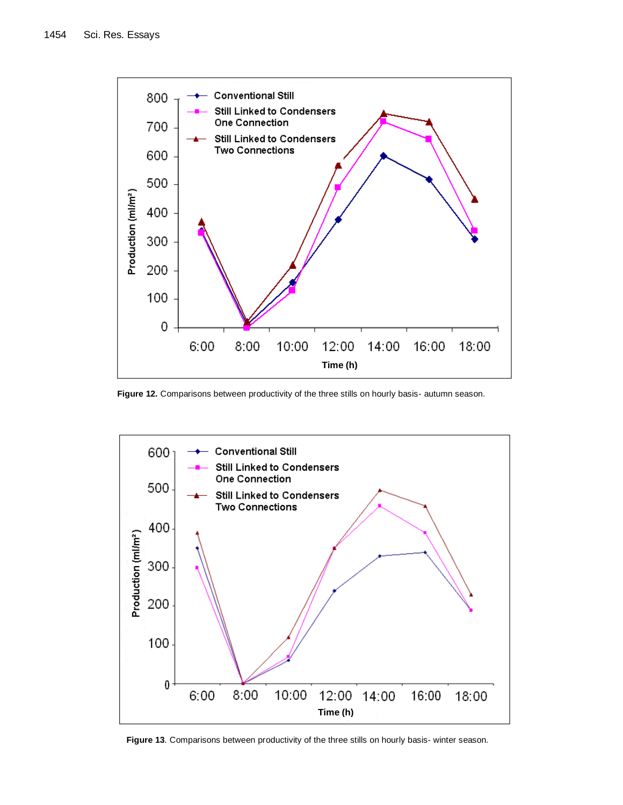

**Figure 12.** Comparisons between productivity of the three stills on hourly basis- autumn season.



**Figure 13**. Comparisons between productivity of the three stills on hourly basis- winter season.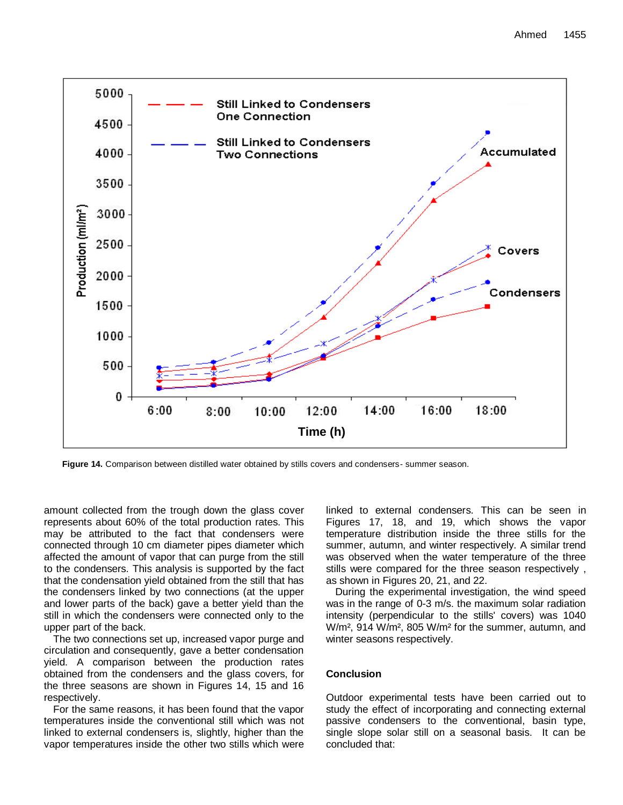

**Figure 14.** Comparison between distilled water obtained by stills covers and condensers- summer season.

amount collected from the trough down the glass cover represents about 60% of the total production rates. This may be attributed to the fact that condensers were connected through 10 cm diameter pipes diameter which affected the amount of vapor that can purge from the still to the condensers. This analysis is supported by the fact that the condensation yield obtained from the still that has the condensers linked by two connections (at the upper and lower parts of the back) gave a better yield than the still in which the condensers were connected only to the upper part of the back.

The two connections set up, increased vapor purge and circulation and consequently, gave a better condensation yield. A comparison between the production rates obtained from the condensers and the glass covers, for the three seasons are shown in Figures 14, 15 and 16 respectively.

For the same reasons, it has been found that the vapor temperatures inside the conventional still which was not linked to external condensers is, slightly, higher than the vapor temperatures inside the other two stills which were linked to external condensers. This can be seen in Figures 17, 18, and 19, which shows the vapor temperature distribution inside the three stills for the summer, autumn, and winter respectively. A similar trend was observed when the water temperature of the three stills were compared for the three season respectively , as shown in Figures 20, 21, and 22.

During the experimental investigation, the wind speed was in the range of 0-3 m/s. the maximum solar radiation intensity (perpendicular to the stills' covers) was 1040 W/m², 914 W/m², 805 W/m² for the summer, autumn, and winter seasons respectively.

### **Conclusion**

Outdoor experimental tests have been carried out to study the effect of incorporating and connecting external passive condensers to the conventional, basin type, single slope solar still on a seasonal basis. It can be concluded that: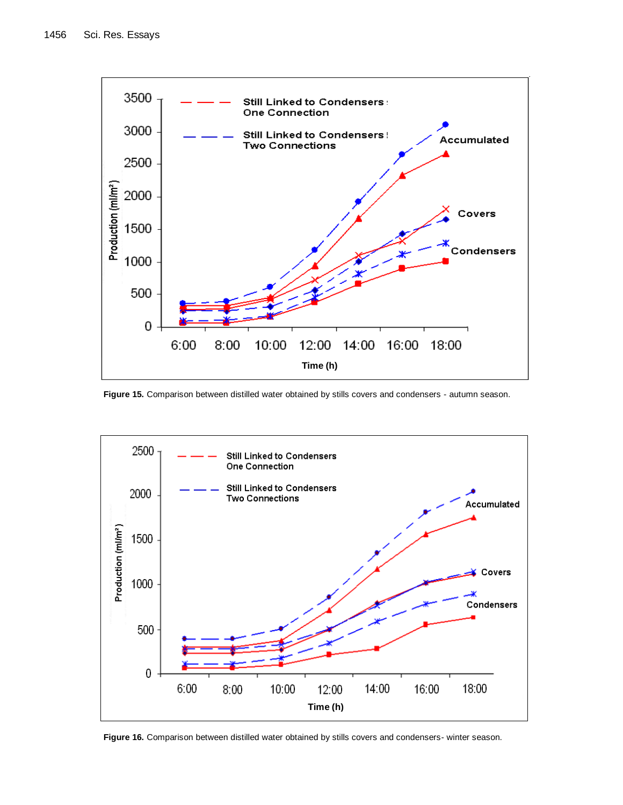

**Figure 15.** Comparison between distilled water obtained by stills covers and condensers - autumn season.



**Figure 16.** Comparison between distilled water obtained by stills covers and condensers- winter season.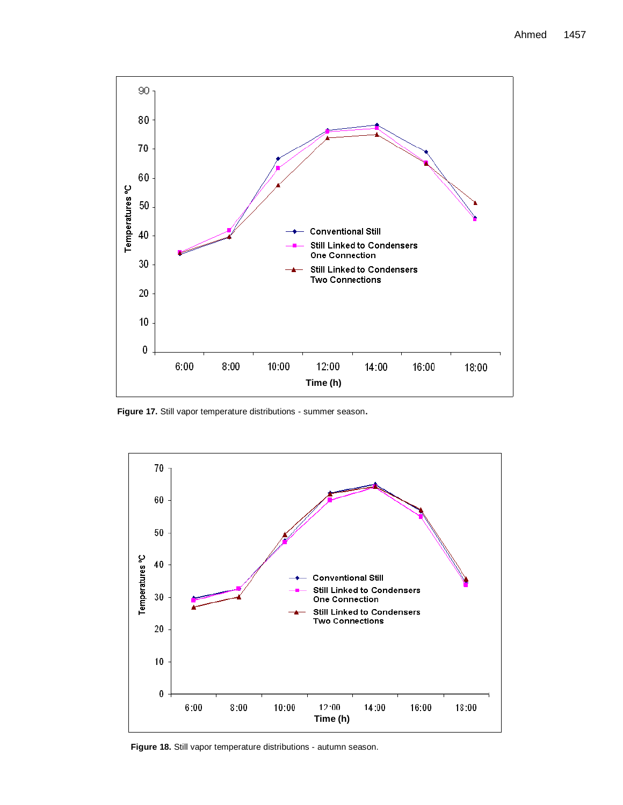

**Figure 17.** Still vapor temperature distributions - summer season**.**



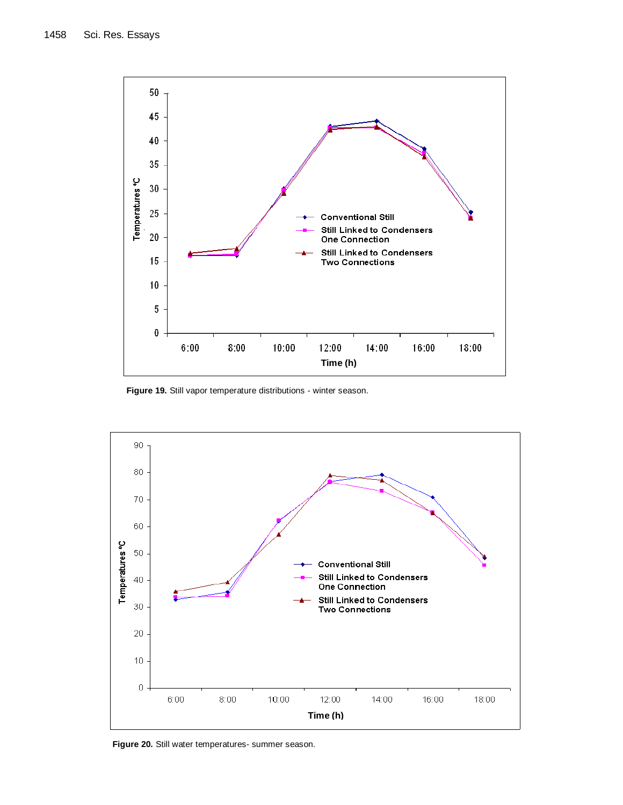

**Figure 19.** Still vapor temperature distributions - winter season.



**Figure 20.** Still water temperatures- summer season.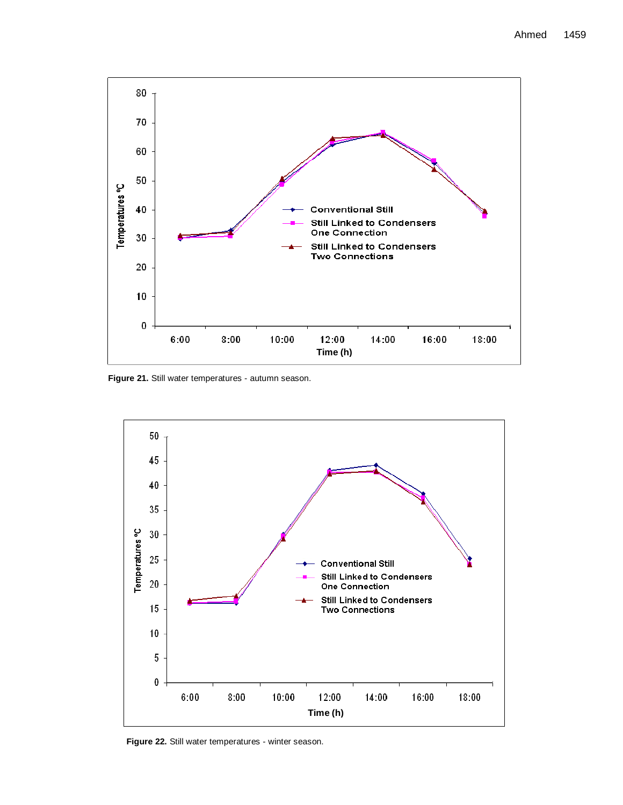

**Figure 21.** Still water temperatures - autumn season.